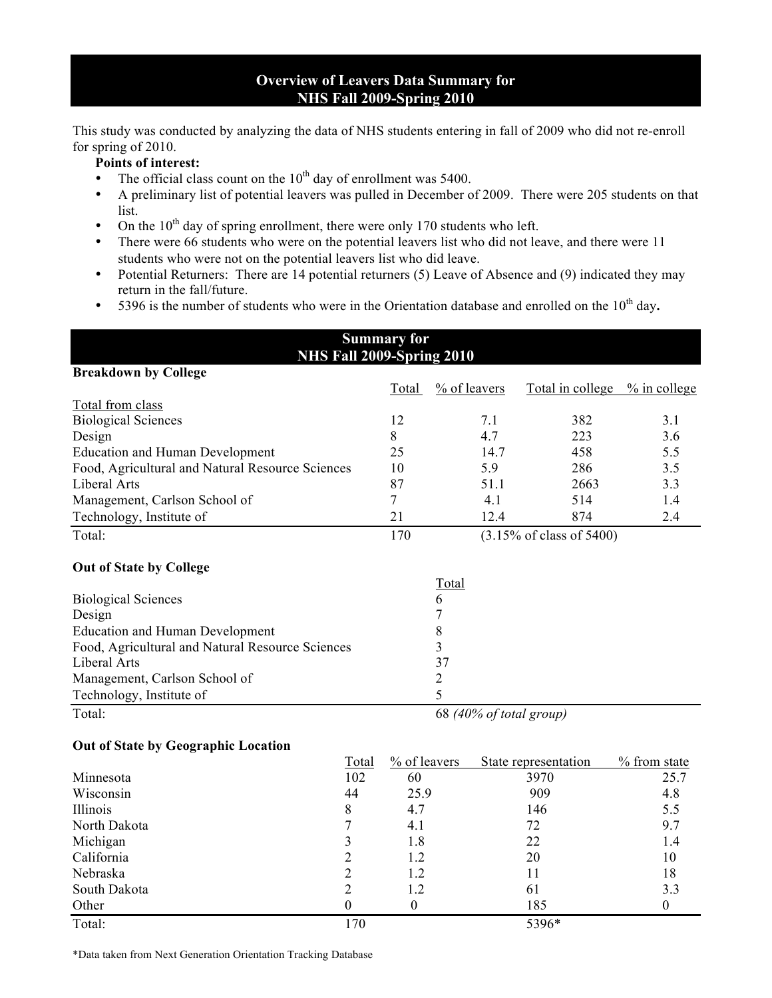## **Overview of Leavers Data Summary for NHS Fall 2009-Spring 2010**

This study was conducted by analyzing the data of NHS students entering in fall of 2009 who did not re-enroll for spring of 2010.

#### **Points of interest:**

- The official class count on the  $10<sup>th</sup>$  day of enrollment was 5400.
- A preliminary list of potential leavers was pulled in December of 2009. There were 205 students on that list.
- On the  $10<sup>th</sup>$  day of spring enrollment, there were only 170 students who left.
- There were 66 students who were on the potential leavers list who did not leave, and there were 11 students who were not on the potential leavers list who did leave.
- Potential Returners: There are 14 potential returners (5) Leave of Absence and (9) indicated they may return in the fall/future.

**Summary for** 

• 5396 is the number of students who were in the Orientation database and enrolled on the 10<sup>th</sup> day.

|                                                  | <b>NHS Fall 2009-Spring 2010</b> |                          |                          |      |                               |                  |
|--------------------------------------------------|----------------------------------|--------------------------|--------------------------|------|-------------------------------|------------------|
| <b>Breakdown by College</b>                      |                                  |                          |                          |      |                               |                  |
|                                                  |                                  | <b>Total</b>             | $\frac{9}{6}$ of leavers |      | Total in college % in college |                  |
| Total from class                                 |                                  |                          |                          |      |                               |                  |
| <b>Biological Sciences</b>                       |                                  | 12                       |                          | 7.1  | 382                           | 3.1              |
| Design                                           |                                  | 8                        |                          | 4.7  | 223                           | 3.6              |
| <b>Education and Human Development</b>           |                                  | 25                       |                          | 14.7 | 458                           | 5.5              |
| Food, Agricultural and Natural Resource Sciences |                                  | 10                       |                          | 5.9  | 286                           | 3.5              |
| Liberal Arts                                     |                                  | 87                       |                          | 51.1 | 2663                          | 3.3              |
| Management, Carlson School of                    |                                  | $\overline{7}$           |                          | 4.1  | 514                           | 1.4              |
| Technology, Institute of                         |                                  | 21                       |                          | 12.4 | 874                           | 2.4              |
| Total:                                           |                                  | 170                      |                          |      | (3.15% of class of 5400)      |                  |
| <b>Out of State by College</b>                   |                                  |                          |                          |      |                               |                  |
|                                                  |                                  |                          | Total                    |      |                               |                  |
| <b>Biological Sciences</b>                       |                                  |                          | 6                        |      |                               |                  |
| Design                                           |                                  |                          | 7                        |      |                               |                  |
| <b>Education and Human Development</b>           |                                  |                          | 8                        |      |                               |                  |
| Food, Agricultural and Natural Resource Sciences |                                  |                          | 3                        |      |                               |                  |
| <b>Liberal Arts</b>                              |                                  |                          | 37                       |      |                               |                  |
| Management, Carlson School of                    |                                  |                          | $\overline{2}$           |      |                               |                  |
| Technology, Institute of                         |                                  |                          | 5                        |      |                               |                  |
| Total:                                           |                                  |                          |                          |      | 68 (40% of total group)       |                  |
| <b>Out of State by Geographic Location</b>       |                                  |                          |                          |      |                               |                  |
|                                                  | Total                            | $\frac{9}{6}$ of leavers |                          |      | State representation          | % from state     |
| Minnesota                                        | 102                              | 60                       |                          |      | 3970                          | 25.7             |
| Wisconsin                                        | 44                               | 25.9                     |                          |      | 909                           | 4.8              |
| Illinois                                         | 8                                | 4.7                      |                          |      | 146                           | 5.5              |
| North Dakota                                     | $\overline{7}$                   | 4.1                      |                          |      | 72                            | 9.7              |
| Michigan                                         | 3                                | 1.8                      |                          |      | 22                            | 1.4              |
| California                                       | $\overline{c}$                   | 1.2                      |                          |      | 20                            | 10               |
| Nebraska                                         | $\overline{2}$                   | 1.2                      |                          |      | 11                            | 18               |
| South Dakota                                     | $\overline{c}$                   | 1.2                      |                          |      | 61                            | 3.3              |
| Other                                            | $\boldsymbol{0}$                 | $\boldsymbol{0}$         |                          |      | 185                           | $\boldsymbol{0}$ |
| Total:                                           | 170                              |                          |                          |      | 5396*                         |                  |

\*Data taken from Next Generation Orientation Tracking Database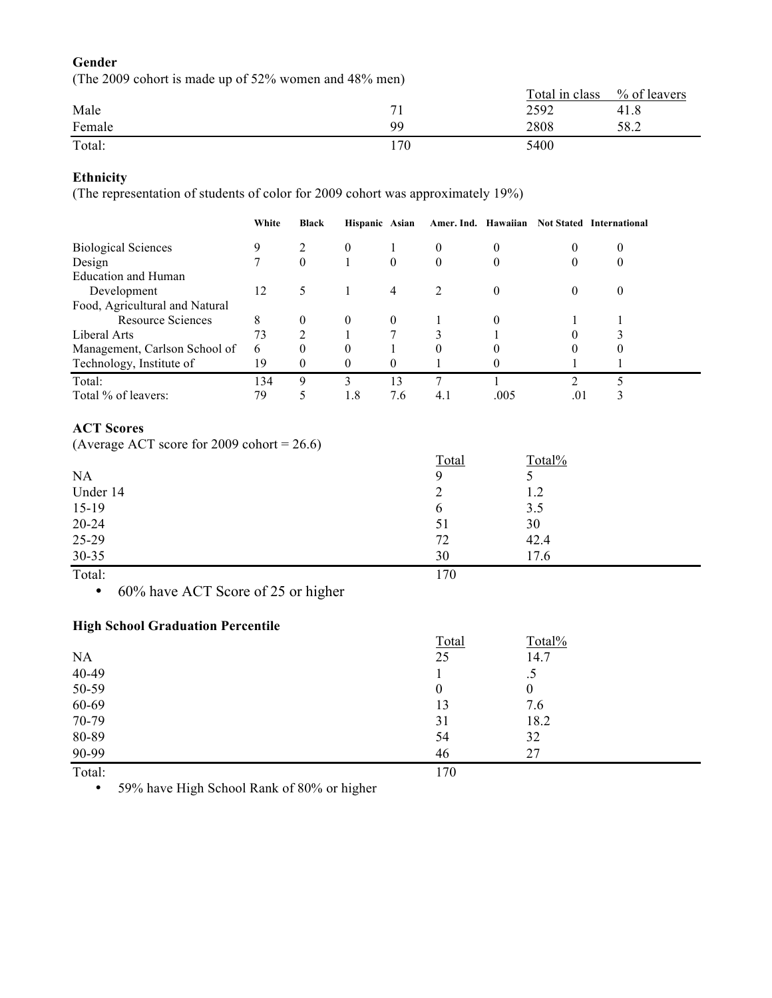### **Gender**

(The 2009 cohort is made up of 52% women and 48% men)

|        |              | Total in class | % of leavers |
|--------|--------------|----------------|--------------|
| Male   | $\mathbf{r}$ | 2592           | 41.8         |
| Female | qq           | 2808           | 58.2         |
| Total: | .70          | 5400           |              |

# **Ethnicity**

(The representation of students of color for 2009 cohort was approximately 19%)

|                                | White | <b>Black</b> | Hispanic Asian |                |                |          |          | Amer. Ind. Hawaiian Not Stated International |
|--------------------------------|-------|--------------|----------------|----------------|----------------|----------|----------|----------------------------------------------|
| <b>Biological Sciences</b>     | 9     |              | $\theta$       |                | $\theta$       | $\theta$ | 0        |                                              |
| Design                         |       | $\theta$     |                | $\overline{0}$ | $\theta$       | $\theta$ | O        |                                              |
| <b>Education and Human</b>     |       |              |                |                |                |          |          |                                              |
| Development                    | 12    | 5            |                | 4              | $\mathfrak{D}$ | $\theta$ | $\theta$ | $\theta$                                     |
| Food, Agricultural and Natural |       |              |                |                |                |          |          |                                              |
| <b>Resource Sciences</b>       | 8     | $\theta$     | $\theta$       | $\theta$       |                | $\Omega$ |          |                                              |
| Liberal Arts                   | 73    | າ            |                |                | 3              |          | $\theta$ |                                              |
| Management, Carlson School of  | 6     | $\Omega$     | 0              |                | $\theta$       |          | $\theta$ |                                              |
| Technology, Institute of       | 19    | $\Omega$     | $\theta$       | $\theta$       |                |          |          |                                              |
| Total:                         | 134   | 9            | 3              | 13             |                |          | ◠        |                                              |
| Total % of leavers:            | 79    |              | 1.8            | 7.6            | 4.1            | .005     | .01      |                                              |

### **ACT Scores**

(Average ACT score for 2009 cohort =  $26.6$ )

|           | Total        | Total% |
|-----------|--------------|--------|
| <b>NA</b> | 9            | ر      |
| Under 14  | ∠            | 1.2    |
| $15-19$   | <sub>0</sub> | 3.5    |
| $20 - 24$ | 51           | 30     |
| 25-29     | 72           | 42.4   |
| $30 - 35$ | 30           | 17.6   |

Total: 170

• 60% have ACT Score of 25 or higher

# **High School Graduation Percentile**

|           | Total        | Total%   |  |
|-----------|--------------|----------|--|
| <b>NA</b> | 25           | 14.7     |  |
| 40-49     |              | د.       |  |
| 50-59     | $\mathbf{0}$ | $\theta$ |  |
| 60-69     | 13           | 7.6      |  |
| 70-79     | 31           | 18.2     |  |
| 80-89     | 54           | 32       |  |
| 90-99     | 46           | 27       |  |
| Total:    | 170          |          |  |

• 59% have High School Rank of 80% or higher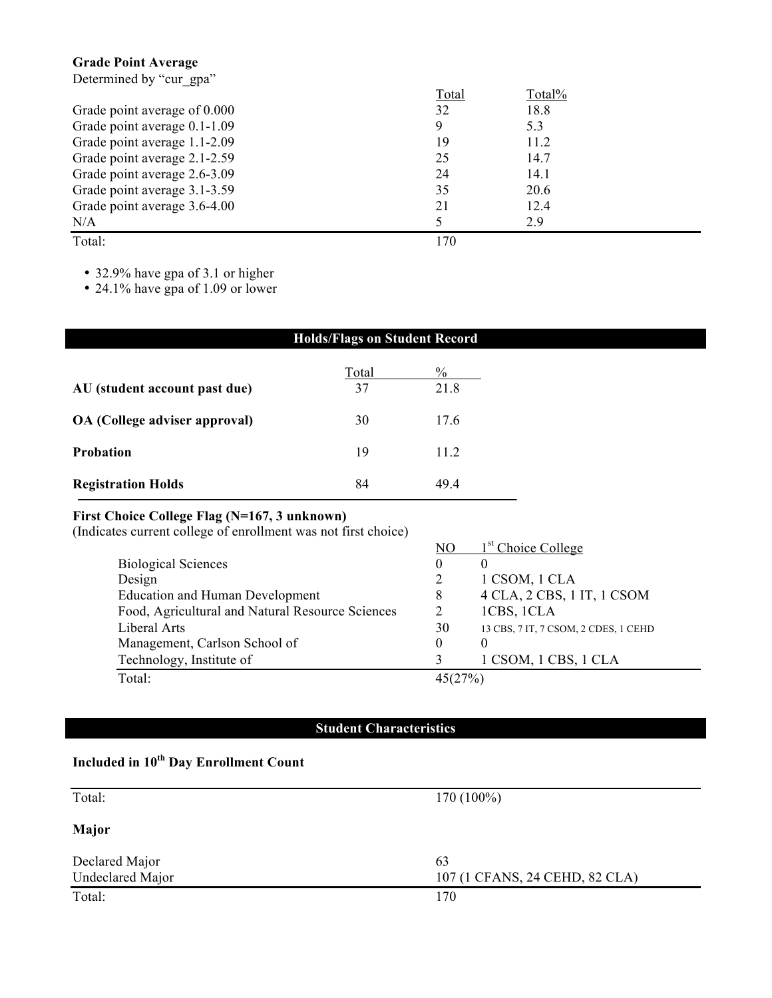# **Grade Point Average**

Determined by "cur\_gpa"

|                              | Total | Total% |  |
|------------------------------|-------|--------|--|
| Grade point average of 0.000 | 32    | 18.8   |  |
| Grade point average 0.1-1.09 | 9     | 5.3    |  |
| Grade point average 1.1-2.09 | 19    | 11.2   |  |
| Grade point average 2.1-2.59 | 25    | 14.7   |  |
| Grade point average 2.6-3.09 | 24    | 14.1   |  |
| Grade point average 3.1-3.59 | 35    | 20.6   |  |
| Grade point average 3.6-4.00 | 21    | 12.4   |  |
| N/A                          |       | 2.9    |  |
| Total:                       | 170   |        |  |

• 32.9% have gpa of 3.1 or higher

• 24.1% have gpa of 1.09 or lower

| <b>Holds/Flags on Student Record</b> |       |      |
|--------------------------------------|-------|------|
|                                      | Total | $\%$ |
| AU (student account past due)        | 37    | 21.8 |
| OA (College adviser approval)        | 30    | 17.6 |
| <b>Probation</b>                     | 19    | 11.2 |
| <b>Registration Holds</b>            | 84    | 49.4 |

#### **First Choice College Flag (N=167, 3 unknown)**

| (Indicates current college of enrollment was not first choice) |         |                                      |
|----------------------------------------------------------------|---------|--------------------------------------|
|                                                                | NO      | 1 <sup>st</sup> Choice College       |
| <b>Biological Sciences</b>                                     | 0       | $\theta$                             |
| Design                                                         |         | 1 CSOM, 1 CLA                        |
| <b>Education and Human Development</b>                         | 8       | 4 CLA, 2 CBS, 1 IT, 1 CSOM           |
| Food, Agricultural and Natural Resource Sciences               |         | 1CBS, 1CLA                           |
| Liberal Arts                                                   | 30      | 13 CBS, 7 IT, 7 CSOM, 2 CDES, 1 CEHD |
| Management, Carlson School of                                  | 0       | $\Omega$                             |
| Technology, Institute of                                       |         | 1 CSOM, 1 CBS, 1 CLA                 |
| Total:                                                         | 45(27%) |                                      |

# **Student Characteristics**

# **Included in 10th Day Enrollment Count**

| Total:           | $170(100\%)$                   |
|------------------|--------------------------------|
| Major            |                                |
| Declared Major   | 63                             |
| Undeclared Major | 107 (1 CFANS, 24 CEHD, 82 CLA) |
| Total:           | 170                            |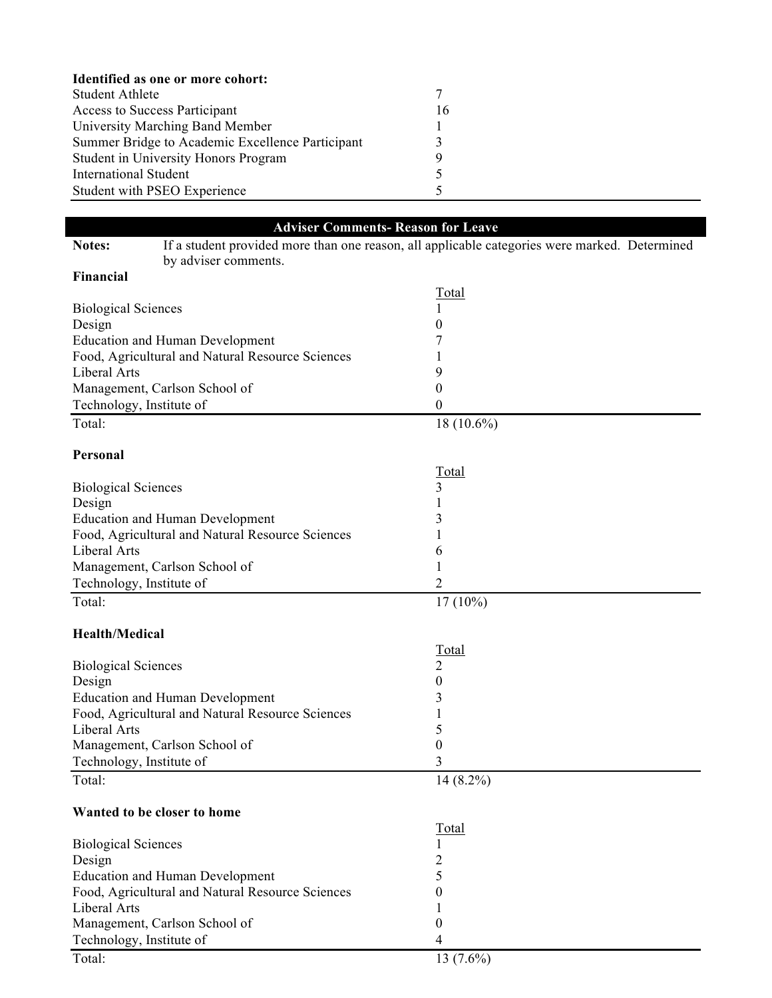| Identified as one or more cohort:                |    |  |
|--------------------------------------------------|----|--|
| Student Athlete                                  |    |  |
| <b>Access to Success Participant</b>             | 16 |  |
| University Marching Band Member                  |    |  |
| Summer Bridge to Academic Excellence Participant |    |  |
| <b>Student in University Honors Program</b>      | Q  |  |
| <b>International Student</b>                     |    |  |
| Student with PSEO Experience                     |    |  |

|                                                                                                         |                                                  | <b>Adviser Comments-Reason for Leave</b> |  |  |
|---------------------------------------------------------------------------------------------------------|--------------------------------------------------|------------------------------------------|--|--|
| If a student provided more than one reason, all applicable categories were marked. Determined<br>Notes: |                                                  |                                          |  |  |
|                                                                                                         | by adviser comments.                             |                                          |  |  |
| Financial                                                                                               |                                                  |                                          |  |  |
|                                                                                                         |                                                  | <u>Total</u>                             |  |  |
| <b>Biological Sciences</b>                                                                              |                                                  |                                          |  |  |
| Design                                                                                                  |                                                  | 0                                        |  |  |
|                                                                                                         | <b>Education and Human Development</b>           |                                          |  |  |
|                                                                                                         | Food, Agricultural and Natural Resource Sciences |                                          |  |  |
| <b>Liberal Arts</b>                                                                                     |                                                  | 9                                        |  |  |
|                                                                                                         | Management, Carlson School of                    | 0                                        |  |  |
| Technology, Institute of                                                                                |                                                  | 0                                        |  |  |
| Total:                                                                                                  |                                                  | $18(10.6\%)$                             |  |  |
| Personal                                                                                                |                                                  |                                          |  |  |
|                                                                                                         |                                                  | <b>Total</b>                             |  |  |
| <b>Biological Sciences</b>                                                                              |                                                  | 3                                        |  |  |
| Design                                                                                                  |                                                  |                                          |  |  |
|                                                                                                         | <b>Education and Human Development</b>           | 3                                        |  |  |
|                                                                                                         |                                                  |                                          |  |  |
| Liberal Arts                                                                                            | Food, Agricultural and Natural Resource Sciences |                                          |  |  |
|                                                                                                         |                                                  | 6                                        |  |  |
|                                                                                                         | Management, Carlson School of                    |                                          |  |  |
| Technology, Institute of                                                                                |                                                  | 2                                        |  |  |
| Total:                                                                                                  |                                                  | $17(10\%)$                               |  |  |
| <b>Health/Medical</b>                                                                                   |                                                  |                                          |  |  |
|                                                                                                         |                                                  |                                          |  |  |
|                                                                                                         |                                                  | <b>Total</b>                             |  |  |
| <b>Biological Sciences</b>                                                                              |                                                  | 2                                        |  |  |
| Design                                                                                                  |                                                  | 0                                        |  |  |
|                                                                                                         | <b>Education and Human Development</b>           | 3                                        |  |  |
|                                                                                                         | Food, Agricultural and Natural Resource Sciences |                                          |  |  |
| Liberal Arts                                                                                            |                                                  | 5                                        |  |  |
|                                                                                                         | Management, Carlson School of                    | 0                                        |  |  |
| Technology, Institute of                                                                                |                                                  | 3                                        |  |  |
| Total:                                                                                                  |                                                  | $14(8.2\%)$                              |  |  |
| Wanted to be closer to home                                                                             |                                                  |                                          |  |  |
|                                                                                                         |                                                  | Total                                    |  |  |
| <b>Biological Sciences</b>                                                                              |                                                  |                                          |  |  |
| Design                                                                                                  |                                                  | $\overline{c}$                           |  |  |
|                                                                                                         | <b>Education and Human Development</b>           | 5                                        |  |  |
|                                                                                                         | Food, Agricultural and Natural Resource Sciences | $\boldsymbol{0}$                         |  |  |
| Liberal Arts                                                                                            |                                                  |                                          |  |  |
|                                                                                                         | Management, Carlson School of                    | $\boldsymbol{0}$                         |  |  |
|                                                                                                         |                                                  |                                          |  |  |
| Technology, Institute of                                                                                |                                                  | 4                                        |  |  |
| Total:                                                                                                  |                                                  | $13(7.6\%)$                              |  |  |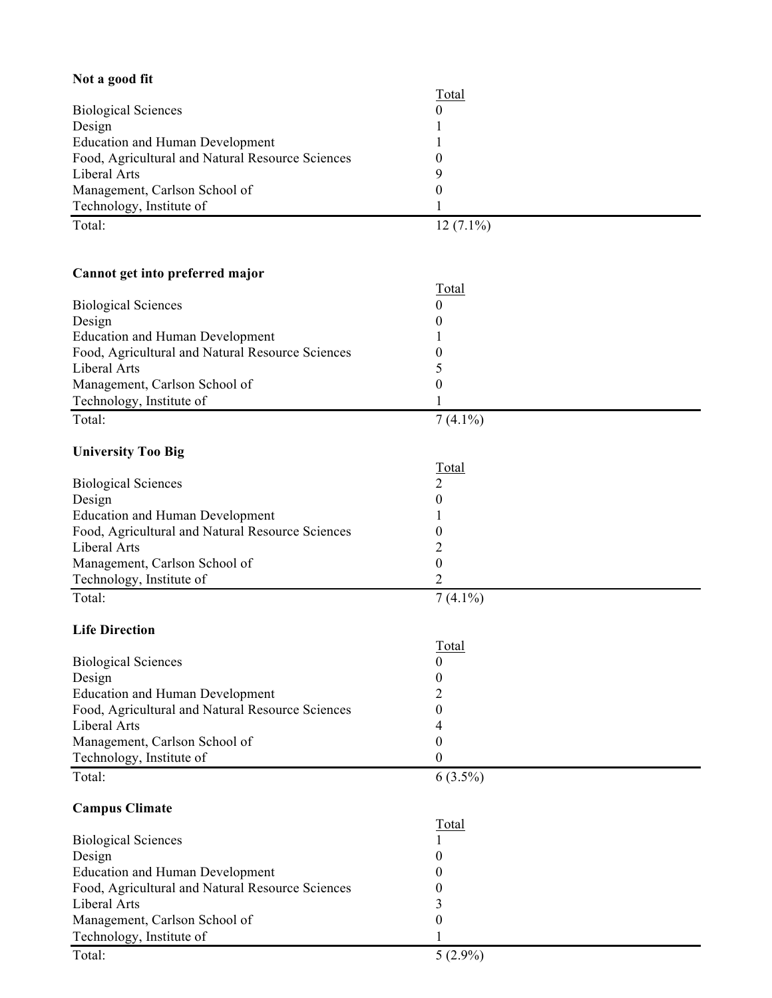| Not a good fit                                   |                |
|--------------------------------------------------|----------------|
|                                                  | <b>Total</b>   |
| <b>Biological Sciences</b>                       | 0              |
| Design                                           |                |
| <b>Education and Human Development</b>           |                |
| Food, Agricultural and Natural Resource Sciences | 0              |
| Liberal Arts                                     | 9              |
| Management, Carlson School of                    | 0              |
| Technology, Institute of                         |                |
| Total:                                           | $12(7.1\%)$    |
|                                                  |                |
|                                                  |                |
| Cannot get into preferred major                  |                |
|                                                  | <b>Total</b>   |
| <b>Biological Sciences</b>                       | 0              |
| Design                                           |                |
| <b>Education and Human Development</b>           |                |
| Food, Agricultural and Natural Resource Sciences | 0              |
| Liberal Arts                                     | 5              |
| Management, Carlson School of                    | 0              |
| Technology, Institute of                         |                |
| Total:                                           | $7(4.1\%)$     |
|                                                  |                |
| <b>University Too Big</b>                        |                |
|                                                  | <b>Total</b>   |
| <b>Biological Sciences</b>                       | $\overline{2}$ |
| Design                                           | 0              |
| <b>Education and Human Development</b>           |                |
| Food, Agricultural and Natural Resource Sciences | 0              |
| Liberal Arts                                     | 2              |
| Management, Carlson School of                    | 0              |
| Technology, Institute of                         | $\overline{c}$ |
| Total:                                           | $7(4.1\%)$     |
|                                                  |                |
| <b>Life Direction</b>                            |                |
|                                                  | Total          |
| <b>Biological Sciences</b>                       | 0              |
| Design                                           | 0              |
| <b>Education and Human Development</b>           | 2              |
| Food, Agricultural and Natural Resource Sciences | 0              |
| Liberal Arts                                     |                |
| Management, Carlson School of                    | $\theta$       |
| Technology, Institute of                         | 0              |
|                                                  |                |
| Total:                                           | $6(3.5\%)$     |
|                                                  |                |
| <b>Campus Climate</b>                            |                |
|                                                  | Total          |
| <b>Biological Sciences</b>                       |                |
| Design                                           |                |
| <b>Education and Human Development</b>           |                |
| Food, Agricultural and Natural Resource Sciences | 0              |
| Liberal Arts                                     | 3              |
| Management, Carlson School of                    | 0              |
| Technology, Institute of                         |                |
| Total:                                           | $5(2.9\%)$     |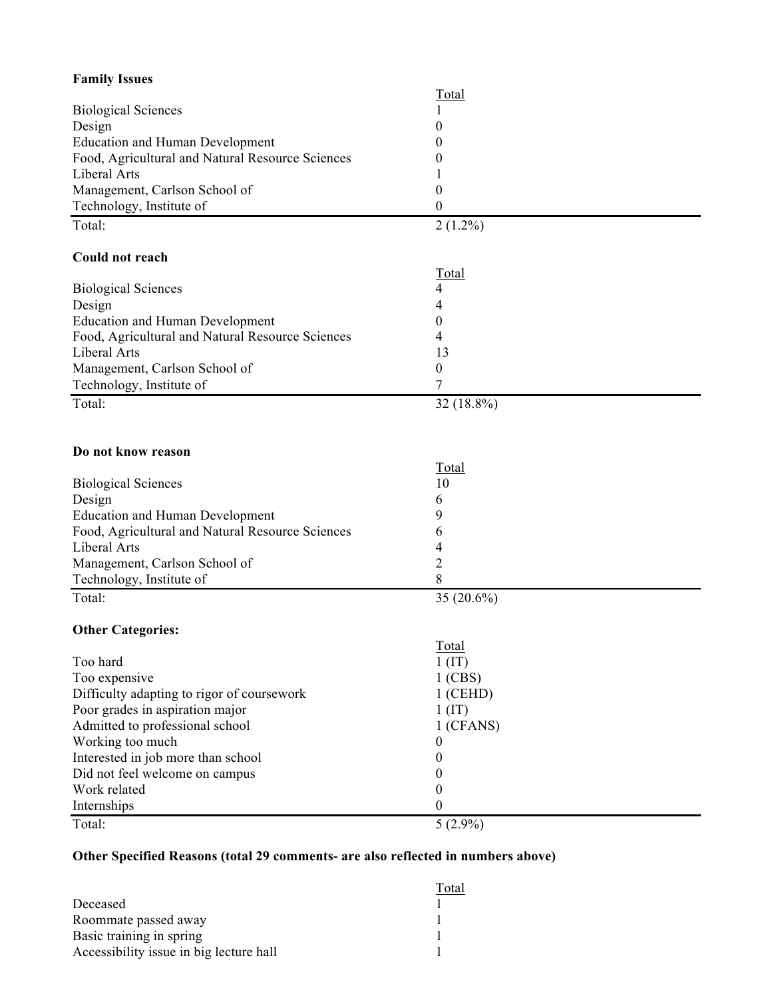| <b>Family Issues</b>                             |                |
|--------------------------------------------------|----------------|
|                                                  | <b>Total</b>   |
| <b>Biological Sciences</b>                       |                |
| Design                                           | 0              |
| <b>Education and Human Development</b>           | 0              |
| Food, Agricultural and Natural Resource Sciences | 0              |
| Liberal Arts                                     |                |
| Management, Carlson School of                    | 0              |
| Technology, Institute of                         | 0              |
| Total:                                           | $2(1.2\%)$     |
|                                                  |                |
| Could not reach                                  |                |
|                                                  | Total          |
| <b>Biological Sciences</b>                       | 4              |
| Design                                           | 4              |
| <b>Education and Human Development</b>           | 0              |
| Food, Agricultural and Natural Resource Sciences | 4              |
| Liberal Arts                                     | 13             |
| Management, Carlson School of                    | 0              |
| Technology, Institute of                         | 7              |
| Total:                                           | 32 (18.8%)     |
|                                                  |                |
|                                                  |                |
| Do not know reason                               |                |
|                                                  | Total          |
| <b>Biological Sciences</b>                       | 10             |
| Design                                           | 6              |
| <b>Education and Human Development</b>           | 9              |
| Food, Agricultural and Natural Resource Sciences | 6              |
| Liberal Arts                                     | 4              |
| Management, Carlson School of                    | $\overline{c}$ |
| Technology, Institute of                         | 8              |
| Total:                                           | 35 (20.6%)     |
| <b>Other Categories:</b>                         |                |
|                                                  | Total          |
| Too hard                                         | $1$ (IT)       |
| Too expensive                                    | $1$ (CBS)      |
| Difficulty adapting to rigor of coursework       | $1$ (CEHD)     |
| Poor grades in aspiration major                  | $1$ (IT)       |
| Admitted to professional school                  | 1 (CFANS)      |
| Working too much                                 | 0              |
| Interested in job more than school               | 0              |
| Did not feel welcome on campus                   | 0              |
| Work related                                     | 0              |
|                                                  | 0              |
| Internships                                      |                |
| Total:                                           | $5(2.9\%)$     |

# **Other Specified Reasons (total 29 comments- are also reflected in numbers above)**

|                                         | Total |
|-----------------------------------------|-------|
| Deceased                                |       |
| Roommate passed away                    |       |
| Basic training in spring                |       |
| Accessibility issue in big lecture hall |       |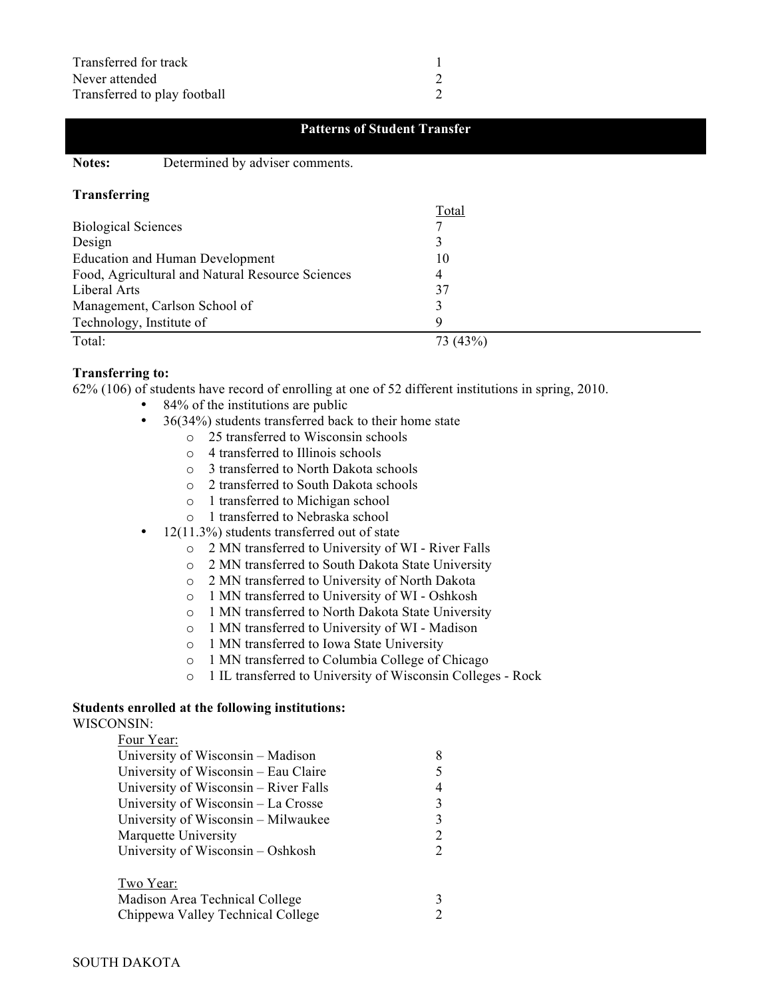#### **Patterns of Student Transfer**

**Notes:** Determined by adviser comments.

#### **Transferring**

|                                                  | Total    |
|--------------------------------------------------|----------|
| <b>Biological Sciences</b>                       |          |
| Design                                           |          |
| <b>Education and Human Development</b>           | 10       |
| Food, Agricultural and Natural Resource Sciences |          |
| Liberal Arts                                     | 37       |
| Management, Carlson School of                    |          |
| Technology, Institute of                         |          |
| Total:                                           | 73 (43%) |

#### **Transferring to:**

62% (106) of students have record of enrolling at one of 52 different institutions in spring, 2010.

- 84% of the institutions are public
- 36(34%) students transferred back to their home state
	- o 25 transferred to Wisconsin schools
	- o 4 transferred to Illinois schools
	- o 3 transferred to North Dakota schools
	- o 2 transferred to South Dakota schools
	- o 1 transferred to Michigan school
	- o 1 transferred to Nebraska school
- 12(11.3%) students transferred out of state
	- o 2 MN transferred to University of WI River Falls
	- o 2 MN transferred to South Dakota State University
	- o 2 MN transferred to University of North Dakota
	- o 1 MN transferred to University of WI Oshkosh
	- o 1 MN transferred to North Dakota State University
	- o 1 MN transferred to University of WI Madison
	- o 1 MN transferred to Iowa State University
	- o 1 MN transferred to Columbia College of Chicago
	- o 1 IL transferred to University of Wisconsin Colleges Rock

# **Students enrolled at the following institutions:**

WISCONSIN:  $E_{\text{out}} V_{\text{out}}$ 

| гош теан.                             |               |
|---------------------------------------|---------------|
| University of Wisconsin – Madison     | 8             |
| University of Wisconsin – Eau Claire  | 5             |
| University of Wisconsin – River Falls | 4             |
| University of Wisconsin - La Crosse   | $\mathcal{R}$ |
| University of Wisconsin – Milwaukee   | $\mathbf{3}$  |
| Marquette University                  | 2             |
| University of Wisconsin – Oshkosh     |               |
|                                       |               |

| Two Year:                         |  |
|-----------------------------------|--|
| Madison Area Technical College    |  |
| Chippewa Valley Technical College |  |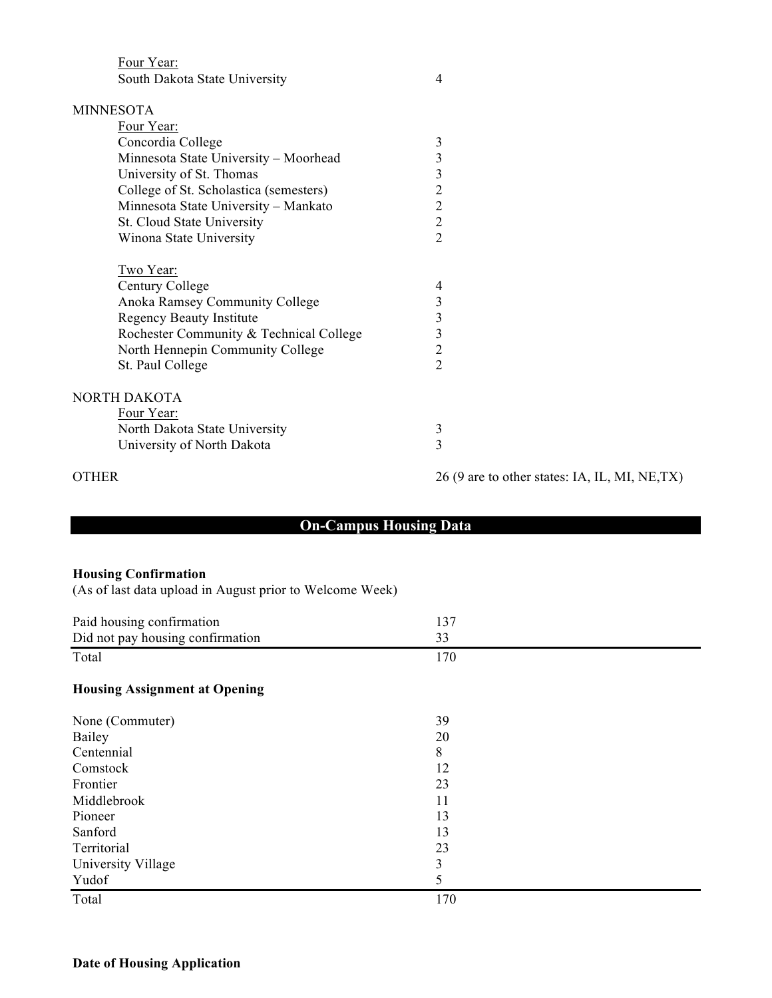Four Year:

| <b>MINNESOTA</b>                        |                                                |
|-----------------------------------------|------------------------------------------------|
| Four Year:                              |                                                |
| Concordia College                       | $\mathfrak{Z}$                                 |
| Minnesota State University - Moorhead   | $\mathfrak{Z}$                                 |
| University of St. Thomas                | $\mathfrak{Z}$                                 |
| College of St. Scholastica (semesters)  | $\overline{2}$                                 |
| Minnesota State University - Mankato    | $\overline{2}$                                 |
| St. Cloud State University              | $\overline{2}$                                 |
| Winona State University                 | $\overline{2}$                                 |
| Two Year:                               |                                                |
| Century College                         | 4                                              |
| Anoka Ramsey Community College          | $\mathfrak{Z}$                                 |
| <b>Regency Beauty Institute</b>         | $\mathfrak{Z}$                                 |
| Rochester Community & Technical College | $\overline{3}$                                 |
| North Hennepin Community College        | $\overline{2}$                                 |
| St. Paul College                        | $\overline{2}$                                 |
| NORTH DAKOTA                            |                                                |
| Four Year:                              |                                                |
| North Dakota State University           | $\mathfrak{Z}$                                 |
| University of North Dakota              | $\overline{3}$                                 |
| <b>OTHER</b>                            | 26 (9 are to other states: IA, IL, MI, NE, TX) |
|                                         |                                                |

# **On-Campus Housing Data**

#### **Housing Confirmation**

(As of last data upload in August prior to Welcome Week)

| Paid housing confirmation            | 137 |  |
|--------------------------------------|-----|--|
| Did not pay housing confirmation     | 33  |  |
| Total                                | 170 |  |
| <b>Housing Assignment at Opening</b> |     |  |
| None (Commuter)                      | 39  |  |
| Bailey                               | 20  |  |
| Centennial                           | 8   |  |
| Comstock                             | 12  |  |
| Frontier                             | 23  |  |
| Middlebrook                          | 11  |  |
| Pioneer                              | 13  |  |
| Sanford                              | 13  |  |
| Territorial                          | 23  |  |
| University Village                   | 3   |  |
| Yudof                                | 5   |  |
| Total                                | 170 |  |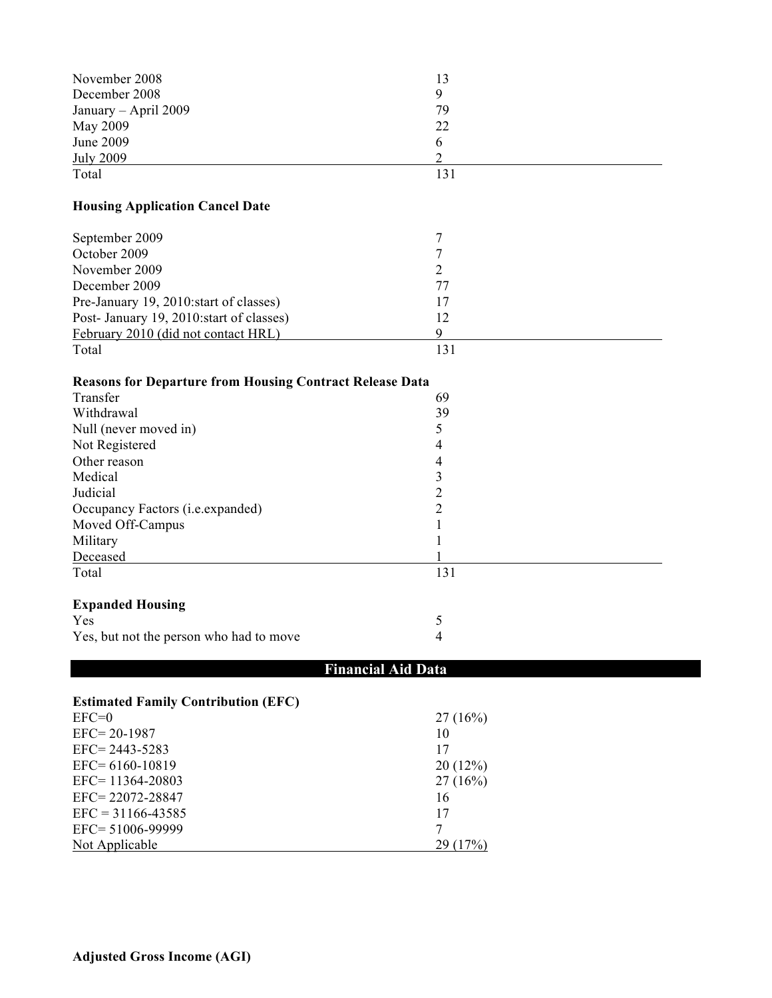| November 2008                                                   | 13             |
|-----------------------------------------------------------------|----------------|
| December 2008                                                   | 9              |
| January - April 2009                                            | 79             |
| May 2009                                                        | 22             |
| <b>June 2009</b>                                                | 6              |
| <b>July 2009</b>                                                | $\overline{2}$ |
| Total                                                           | 131            |
| <b>Housing Application Cancel Date</b>                          |                |
| September 2009                                                  | 7              |
| October 2009                                                    | $\overline{7}$ |
| November 2009                                                   | $\overline{2}$ |
| December 2009                                                   | 77             |
| Pre-January 19, 2010: start of classes)                         | 17             |
| Post- January 19, 2010: start of classes)                       | 12             |
| February 2010 (did not contact HRL)                             | 9              |
| Total                                                           | 131            |
| <b>Reasons for Departure from Housing Contract Release Data</b> |                |
| Transfer                                                        | 69             |
| Withdrawal                                                      | 39             |
| Null (never moved in)                                           | 5              |
| Not Registered                                                  | 4              |
| Other reason                                                    | 4              |
| Medical                                                         | $\mathfrak{Z}$ |
| Judicial                                                        | $\overline{c}$ |
| Occupancy Factors (i.e.expanded)                                | $\overline{c}$ |
| Moved Off-Campus                                                | 1              |
| Military                                                        | 1              |
| Deceased                                                        |                |
| Total                                                           | 131            |
| <b>Expanded Housing</b>                                         |                |
| Yes                                                             | 5              |
| Yes, but not the person who had to move                         | 4              |
| <b>Financial Aid Data</b>                                       |                |
| <b>Estimated Family Contribution (EFC)</b>                      |                |
| $EFC=0$                                                         | 27(16%)        |
| EFC=20-1987                                                     | 10             |
| EFC=2443-5283                                                   | 17             |
| EFC= 6160-10819                                                 | 20(12%)        |
| EFC=11364-20803                                                 | 27(16%)        |
| EFC=22072-28847                                                 | 16             |
| $EFC = 31166 - 43585$                                           | 17             |
| EFC= 51006-99999                                                | $\tau$         |
| Not Applicable                                                  | 29(17%)        |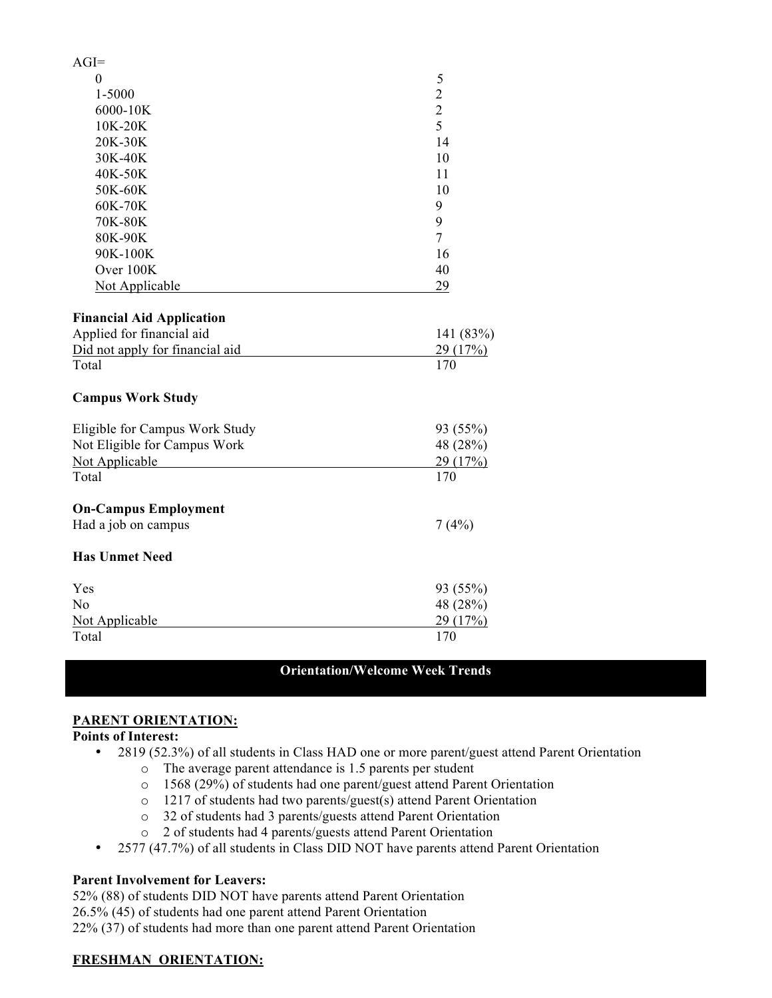| $AGI=$                                             |                |
|----------------------------------------------------|----------------|
| $\theta$                                           | 5              |
| 1-5000                                             | $\overline{c}$ |
| 6000-10K                                           | $rac{2}{5}$    |
| 10K-20K                                            |                |
| 20K-30K                                            | 14             |
| 30K-40K                                            | 10             |
| 40K-50K                                            | 11             |
| 50K-60K                                            | 10             |
| 60K-70K                                            | 9              |
| 70K-80K                                            | 9              |
| 80K-90K                                            | $\overline{7}$ |
| 90K-100K                                           | 16             |
| Over 100K                                          | 40             |
| <b>Not Applicable</b>                              | 29             |
| <b>Financial Aid Application</b>                   |                |
| Applied for financial aid                          | 141 (83%)      |
| Did not apply for financial aid                    | 29 (17%)       |
| Total                                              | 170            |
| <b>Campus Work Study</b>                           |                |
| Eligible for Campus Work Study                     | 93 (55%)       |
| Not Eligible for Campus Work                       | 48 (28%)       |
| Not Applicable                                     | 29 (17%)       |
| Total                                              | 170            |
| <b>On-Campus Employment</b><br>Had a job on campus | 7(4%)          |
| <b>Has Unmet Need</b>                              |                |
| Yes                                                | 93 (55%)       |
| No                                                 | 48 (28%)       |
| Not Applicable                                     | 29(17%)        |
| Total                                              | 170            |

### **Orientation/Welcome Week Trends**

#### **PARENT ORIENTATION:**

#### **Points of Interest:**

- 2819 (52.3%) of all students in Class HAD one or more parent/guest attend Parent Orientation
	- o The average parent attendance is 1.5 parents per student
	- o 1568 (29%) of students had one parent/guest attend Parent Orientation
	- o 1217 of students had two parents/guest(s) attend Parent Orientation
	- o 32 of students had 3 parents/guests attend Parent Orientation
	- o 2 of students had 4 parents/guests attend Parent Orientation
- 2577 (47.7%) of all students in Class DID NOT have parents attend Parent Orientation

#### **Parent Involvement for Leavers:**

52% (88) of students DID NOT have parents attend Parent Orientation 26.5% (45) of students had one parent attend Parent Orientation 22% (37) of students had more than one parent attend Parent Orientation

#### **FRESHMAN ORIENTATION:**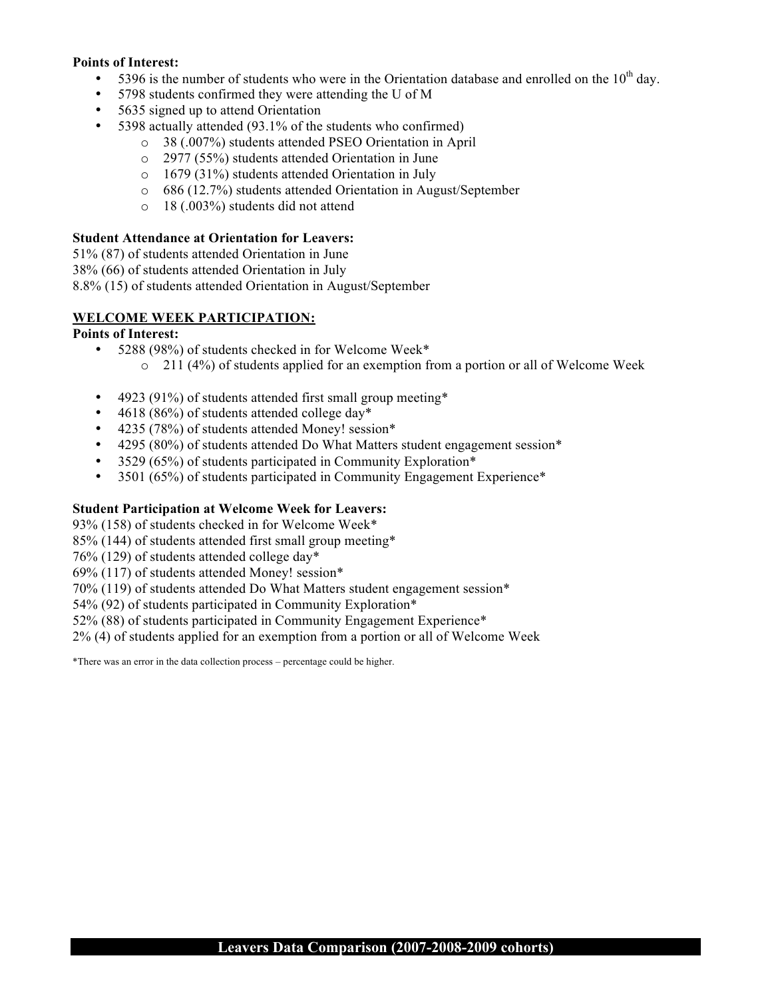#### **Points of Interest:**

- 5396 is the number of students who were in the Orientation database and enrolled on the  $10<sup>th</sup>$  day.
- 5798 students confirmed they were attending the U of M
- 5635 signed up to attend Orientation
- 5398 actually attended (93.1% of the students who confirmed)
	- o 38 (.007%) students attended PSEO Orientation in April
	- o 2977 (55%) students attended Orientation in June
	- o 1679 (31%) students attended Orientation in July
	- o 686 (12.7%) students attended Orientation in August/September
	- o 18 (.003%) students did not attend

#### **Student Attendance at Orientation for Leavers:**

51% (87) of students attended Orientation in June

38% (66) of students attended Orientation in July

8.8% (15) of students attended Orientation in August/September

### **WELCOME WEEK PARTICIPATION:**

#### **Points of Interest:**

- 5288 (98%) of students checked in for Welcome Week\*  $\circ$  211 (4%) of students applied for an exemption from a portion or all of Welcome Week
- 4923 (91%) of students attended first small group meeting\*
- 4618 (86%) of students attended college day\*
- 4235 (78%) of students attended Money! session\*
- 4295 (80%) of students attended Do What Matters student engagement session\*
- 3529 (65%) of students participated in Community Exploration\*
- 3501 (65%) of students participated in Community Engagement Experience\*

### **Student Participation at Welcome Week for Leavers:**

93% (158) of students checked in for Welcome Week\*

85% (144) of students attended first small group meeting\*

76% (129) of students attended college day\*

69% (117) of students attended Money! session\*

70% (119) of students attended Do What Matters student engagement session\*

54% (92) of students participated in Community Exploration\*

52% (88) of students participated in Community Engagement Experience\*

2% (4) of students applied for an exemption from a portion or all of Welcome Week

\*There was an error in the data collection process – percentage could be higher.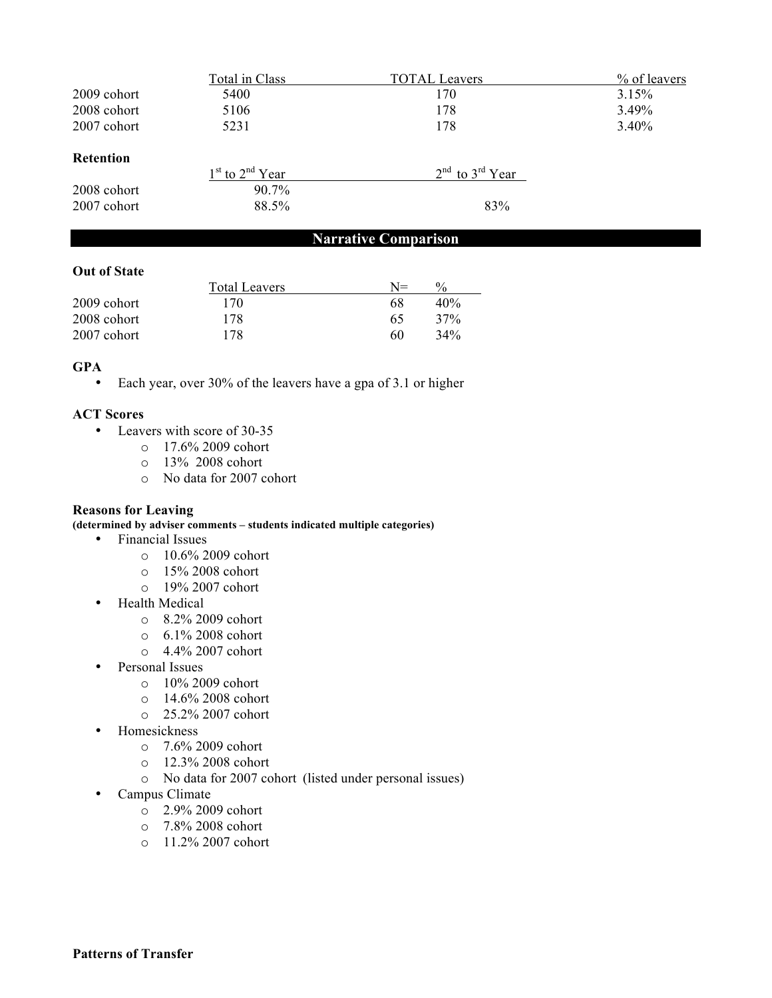|                  | Total in Class      | <b>TOTAL Leavers</b> | % of leavers |
|------------------|---------------------|----------------------|--------------|
| 2009 cohort      | 5400                | 170                  | 3.15%        |
| 2008 cohort      | 5106                | 178                  | 3.49%        |
| 2007 cohort      | 5231                | 178                  | $3.40\%$     |
| <b>Retention</b> |                     |                      |              |
|                  | $1st$ to $2nd$ Year | $2nd$ to $3rd$ Year  |              |
| 2008 cohort      | 90.7%               |                      |              |
| 2007 cohort      | 88.5%               | 83%                  |              |

# **Narrative Comparison**

#### **Out of State**

|             | <b>Total Leavers</b> | $N =$ | $\frac{0}{0}$ |
|-------------|----------------------|-------|---------------|
| 2009 cohort | 170                  | 68    | 40%           |
| 2008 cohort | 178                  | 65    | 37%           |
| 2007 cohort | 178                  | 60    | 34%           |

#### **GPA**

• Each year, over 30% of the leavers have a gpa of 3.1 or higher

#### **ACT Scores**

- Leavers with score of 30-35
	- o 17.6% 2009 cohort
	- o 13% 2008 cohort
	- o No data for 2007 cohort

#### **Reasons for Leaving**

**(determined by adviser comments – students indicated multiple categories)**

- Financial Issues
	- o 10.6% 2009 cohort
	- o 15% 2008 cohort
	- o 19% 2007 cohort
- Health Medical
	- o 8.2% 2009 cohort
	- o 6.1% 2008 cohort
	- o 4.4% 2007 cohort
- Personal Issues
	- $\circ$  10% 2009 cohort
	- o 14.6% 2008 cohort
	- o 25.2% 2007 cohort
- Homesickness
	- o 7.6% 2009 cohort
	- o 12.3% 2008 cohort
	- o No data for 2007 cohort (listed under personal issues)
- Campus Climate
	- o 2.9% 2009 cohort
	- o 7.8% 2008 cohort
	- o 11.2% 2007 cohort